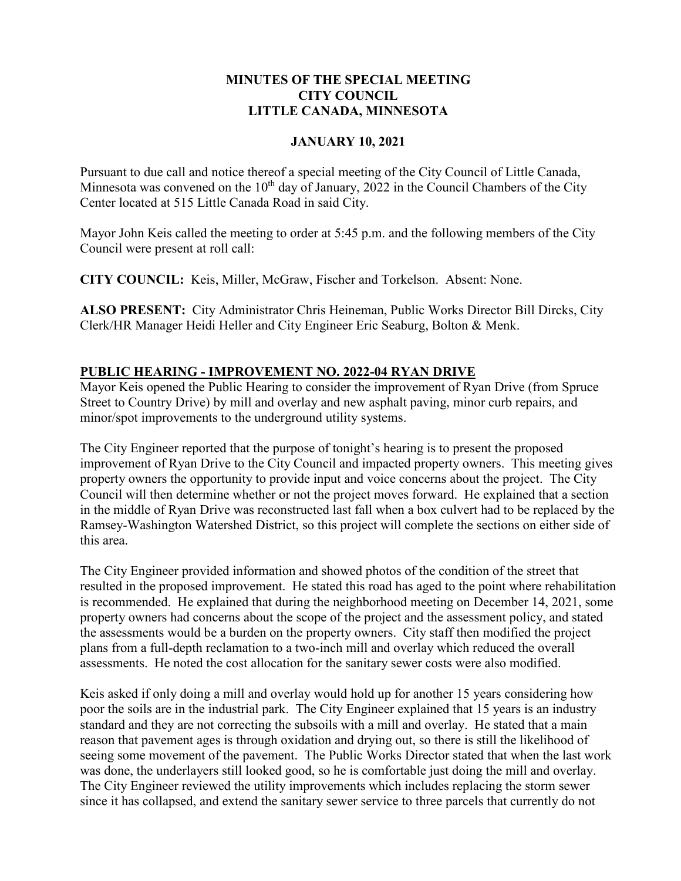## **MINUTES OF THE SPECIAL MEETING CITY COUNCIL LITTLE CANADA, MINNESOTA**

## **JANUARY 10, 2021**

Pursuant to due call and notice thereof a special meeting of the City Council of Little Canada, Minnesota was convened on the  $10<sup>th</sup>$  day of January, 2022 in the Council Chambers of the City Center located at 515 Little Canada Road in said City.

Mayor John Keis called the meeting to order at 5:45 p.m. and the following members of the City Council were present at roll call:

**CITY COUNCIL:** Keis, Miller, McGraw, Fischer and Torkelson. Absent: None.

**ALSO PRESENT:** City Administrator Chris Heineman, Public Works Director Bill Dircks, City Clerk/HR Manager Heidi Heller and City Engineer Eric Seaburg, Bolton & Menk.

# **PUBLIC HEARING - IMPROVEMENT NO. 2022-04 RYAN DRIVE**

Mayor Keis opened the Public Hearing to consider the improvement of Ryan Drive (from Spruce Street to Country Drive) by mill and overlay and new asphalt paving, minor curb repairs, and minor/spot improvements to the underground utility systems.

The City Engineer reported that the purpose of tonight's hearing is to present the proposed improvement of Ryan Drive to the City Council and impacted property owners. This meeting gives property owners the opportunity to provide input and voice concerns about the project. The City Council will then determine whether or not the project moves forward. He explained that a section in the middle of Ryan Drive was reconstructed last fall when a box culvert had to be replaced by the Ramsey-Washington Watershed District, so this project will complete the sections on either side of this area.

The City Engineer provided information and showed photos of the condition of the street that resulted in the proposed improvement. He stated this road has aged to the point where rehabilitation is recommended. He explained that during the neighborhood meeting on December 14, 2021, some property owners had concerns about the scope of the project and the assessment policy, and stated the assessments would be a burden on the property owners. City staff then modified the project plans from a full-depth reclamation to a two-inch mill and overlay which reduced the overall assessments. He noted the cost allocation for the sanitary sewer costs were also modified.

Keis asked if only doing a mill and overlay would hold up for another 15 years considering how poor the soils are in the industrial park. The City Engineer explained that 15 years is an industry standard and they are not correcting the subsoils with a mill and overlay. He stated that a main reason that pavement ages is through oxidation and drying out, so there is still the likelihood of seeing some movement of the pavement. The Public Works Director stated that when the last work was done, the underlayers still looked good, so he is comfortable just doing the mill and overlay. The City Engineer reviewed the utility improvements which includes replacing the storm sewer since it has collapsed, and extend the sanitary sewer service to three parcels that currently do not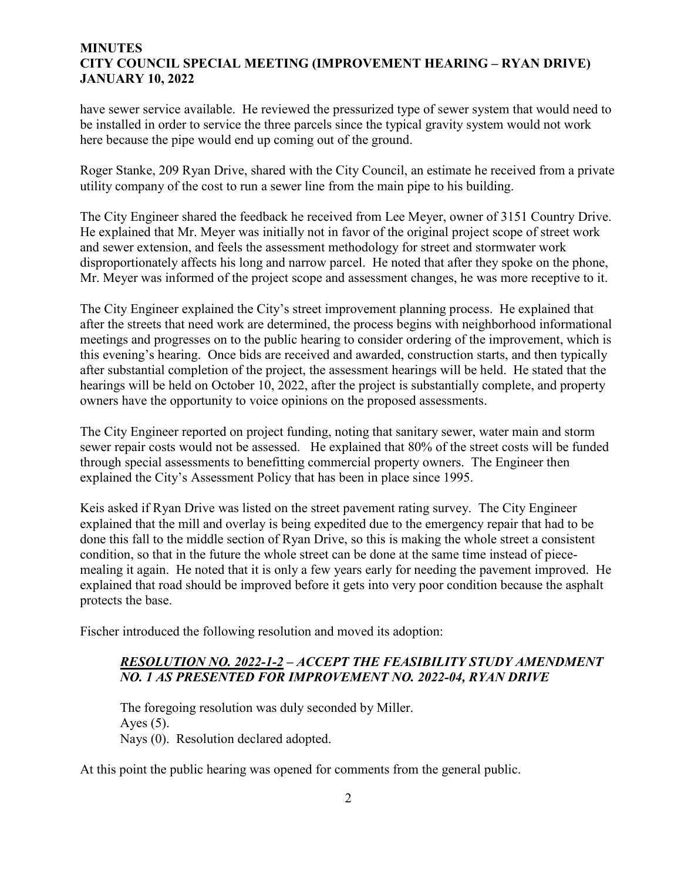#### **MINUTES CITY COUNCIL SPECIAL MEETING (IMPROVEMENT HEARING – RYAN DRIVE) JANUARY 10, 2022**

have sewer service available. He reviewed the pressurized type of sewer system that would need to be installed in order to service the three parcels since the typical gravity system would not work here because the pipe would end up coming out of the ground.

Roger Stanke, 209 Ryan Drive, shared with the City Council, an estimate he received from a private utility company of the cost to run a sewer line from the main pipe to his building.

The City Engineer shared the feedback he received from Lee Meyer, owner of 3151 Country Drive. He explained that Mr. Meyer was initially not in favor of the original project scope of street work and sewer extension, and feels the assessment methodology for street and stormwater work disproportionately affects his long and narrow parcel. He noted that after they spoke on the phone, Mr. Meyer was informed of the project scope and assessment changes, he was more receptive to it.

The City Engineer explained the City's street improvement planning process. He explained that after the streets that need work are determined, the process begins with neighborhood informational meetings and progresses on to the public hearing to consider ordering of the improvement, which is this evening's hearing. Once bids are received and awarded, construction starts, and then typically after substantial completion of the project, the assessment hearings will be held. He stated that the hearings will be held on October 10, 2022, after the project is substantially complete, and property owners have the opportunity to voice opinions on the proposed assessments.

The City Engineer reported on project funding, noting that sanitary sewer, water main and storm sewer repair costs would not be assessed. He explained that 80% of the street costs will be funded through special assessments to benefitting commercial property owners. The Engineer then explained the City's Assessment Policy that has been in place since 1995.

Keis asked if Ryan Drive was listed on the street pavement rating survey. The City Engineer explained that the mill and overlay is being expedited due to the emergency repair that had to be done this fall to the middle section of Ryan Drive, so this is making the whole street a consistent condition, so that in the future the whole street can be done at the same time instead of piecemealing it again. He noted that it is only a few years early for needing the pavement improved. He explained that road should be improved before it gets into very poor condition because the asphalt protects the base.

Fischer introduced the following resolution and moved its adoption:

## *RESOLUTION NO. 2022-1-2 – ACCEPT THE FEASIBILITY STUDY AMENDMENT NO. 1 AS PRESENTED FOR IMPROVEMENT NO. 2022-04, RYAN DRIVE*

The foregoing resolution was duly seconded by Miller. Ayes  $(5)$ . Nays (0). Resolution declared adopted.

At this point the public hearing was opened for comments from the general public.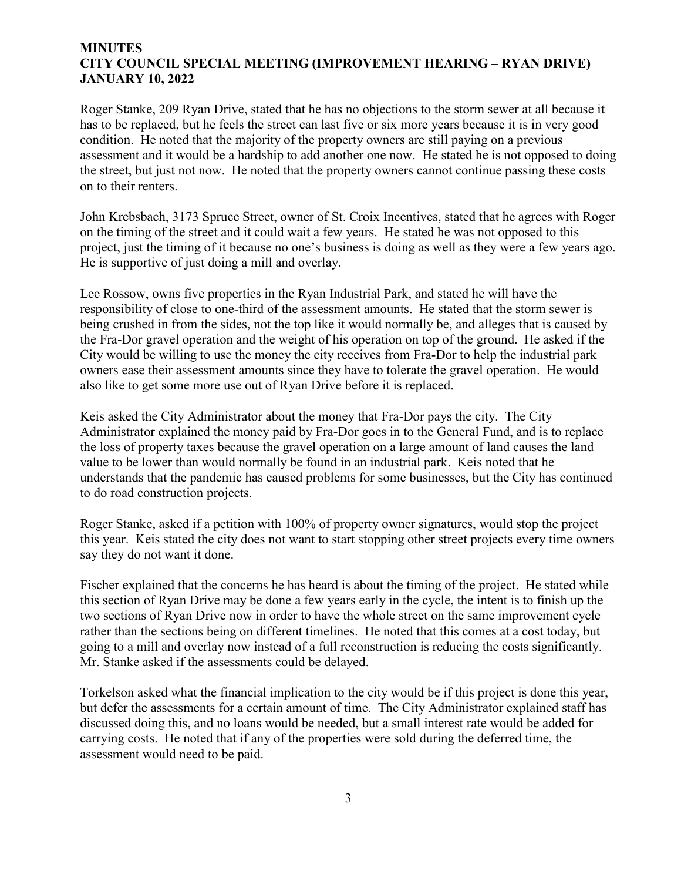#### **MINUTES CITY COUNCIL SPECIAL MEETING (IMPROVEMENT HEARING – RYAN DRIVE) JANUARY 10, 2022**

Roger Stanke, 209 Ryan Drive, stated that he has no objections to the storm sewer at all because it has to be replaced, but he feels the street can last five or six more years because it is in very good condition. He noted that the majority of the property owners are still paying on a previous assessment and it would be a hardship to add another one now. He stated he is not opposed to doing the street, but just not now. He noted that the property owners cannot continue passing these costs on to their renters.

John Krebsbach, 3173 Spruce Street, owner of St. Croix Incentives, stated that he agrees with Roger on the timing of the street and it could wait a few years. He stated he was not opposed to this project, just the timing of it because no one's business is doing as well as they were a few years ago. He is supportive of just doing a mill and overlay.

Lee Rossow, owns five properties in the Ryan Industrial Park, and stated he will have the responsibility of close to one-third of the assessment amounts. He stated that the storm sewer is being crushed in from the sides, not the top like it would normally be, and alleges that is caused by the Fra-Dor gravel operation and the weight of his operation on top of the ground. He asked if the City would be willing to use the money the city receives from Fra-Dor to help the industrial park owners ease their assessment amounts since they have to tolerate the gravel operation. He would also like to get some more use out of Ryan Drive before it is replaced.

Keis asked the City Administrator about the money that Fra-Dor pays the city. The City Administrator explained the money paid by Fra-Dor goes in to the General Fund, and is to replace the loss of property taxes because the gravel operation on a large amount of land causes the land value to be lower than would normally be found in an industrial park. Keis noted that he understands that the pandemic has caused problems for some businesses, but the City has continued to do road construction projects.

Roger Stanke, asked if a petition with 100% of property owner signatures, would stop the project this year. Keis stated the city does not want to start stopping other street projects every time owners say they do not want it done.

Fischer explained that the concerns he has heard is about the timing of the project. He stated while this section of Ryan Drive may be done a few years early in the cycle, the intent is to finish up the two sections of Ryan Drive now in order to have the whole street on the same improvement cycle rather than the sections being on different timelines. He noted that this comes at a cost today, but going to a mill and overlay now instead of a full reconstruction is reducing the costs significantly. Mr. Stanke asked if the assessments could be delayed.

Torkelson asked what the financial implication to the city would be if this project is done this year, but defer the assessments for a certain amount of time. The City Administrator explained staff has discussed doing this, and no loans would be needed, but a small interest rate would be added for carrying costs. He noted that if any of the properties were sold during the deferred time, the assessment would need to be paid.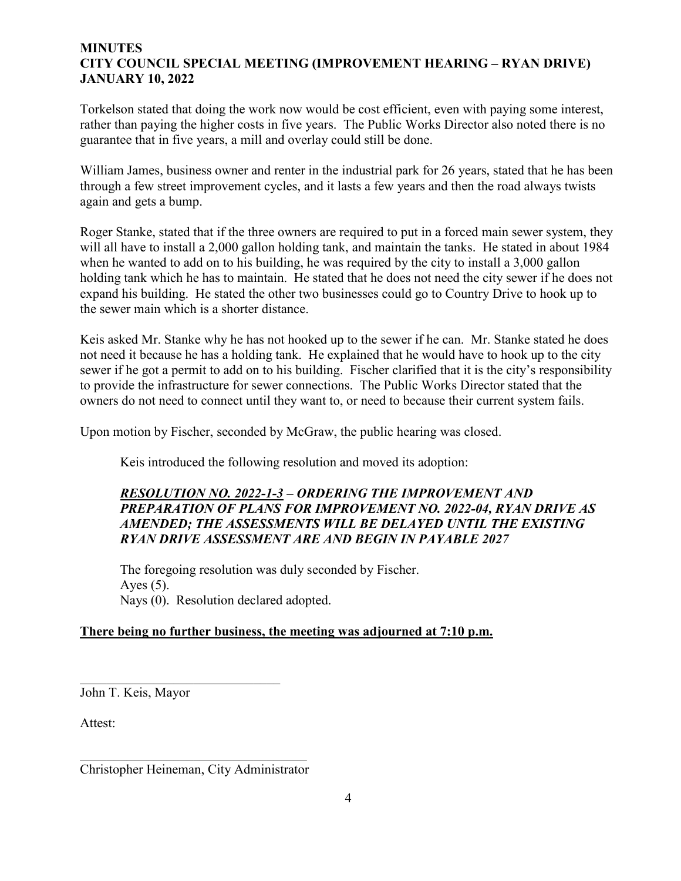#### **MINUTES CITY COUNCIL SPECIAL MEETING (IMPROVEMENT HEARING – RYAN DRIVE) JANUARY 10, 2022**

Torkelson stated that doing the work now would be cost efficient, even with paying some interest, rather than paying the higher costs in five years. The Public Works Director also noted there is no guarantee that in five years, a mill and overlay could still be done.

William James, business owner and renter in the industrial park for 26 years, stated that he has been through a few street improvement cycles, and it lasts a few years and then the road always twists again and gets a bump.

Roger Stanke, stated that if the three owners are required to put in a forced main sewer system, they will all have to install a 2,000 gallon holding tank, and maintain the tanks. He stated in about 1984 when he wanted to add on to his building, he was required by the city to install a 3,000 gallon holding tank which he has to maintain. He stated that he does not need the city sewer if he does not expand his building. He stated the other two businesses could go to Country Drive to hook up to the sewer main which is a shorter distance.

Keis asked Mr. Stanke why he has not hooked up to the sewer if he can. Mr. Stanke stated he does not need it because he has a holding tank. He explained that he would have to hook up to the city sewer if he got a permit to add on to his building. Fischer clarified that it is the city's responsibility to provide the infrastructure for sewer connections. The Public Works Director stated that the owners do not need to connect until they want to, or need to because their current system fails.

Upon motion by Fischer, seconded by McGraw, the public hearing was closed.

Keis introduced the following resolution and moved its adoption:

# *RESOLUTION NO. 2022-1-3 – ORDERING THE IMPROVEMENT AND PREPARATION OF PLANS FOR IMPROVEMENT NO. 2022-04, RYAN DRIVE AS AMENDED; THE ASSESSMENTS WILL BE DELAYED UNTIL THE EXISTING RYAN DRIVE ASSESSMENT ARE AND BEGIN IN PAYABLE 2027*

The foregoing resolution was duly seconded by Fischer. Ayes  $(5)$ . Nays (0). Resolution declared adopted.

# **There being no further business, the meeting was adjourned at 7:10 p.m.**

John T. Keis, Mayor

Attest:

 $\overline{\phantom{a}}$ Christopher Heineman, City Administrator

\_\_\_\_\_\_\_\_\_\_\_\_\_\_\_\_\_\_\_\_\_\_\_\_\_\_\_\_\_\_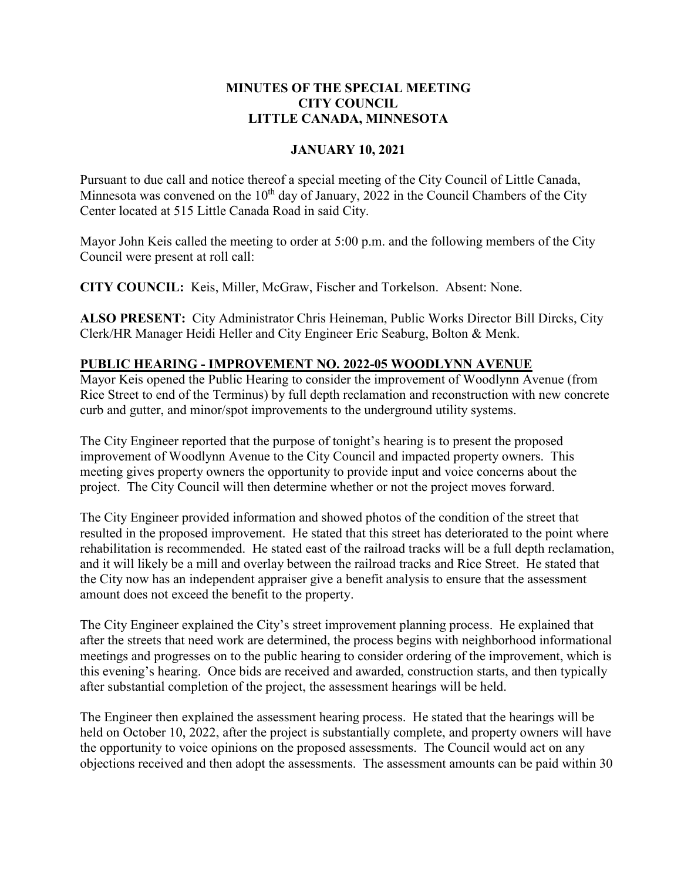## **MINUTES OF THE SPECIAL MEETING CITY COUNCIL LITTLE CANADA, MINNESOTA**

## **JANUARY 10, 2021**

Pursuant to due call and notice thereof a special meeting of the City Council of Little Canada, Minnesota was convened on the  $10<sup>th</sup>$  day of January, 2022 in the Council Chambers of the City Center located at 515 Little Canada Road in said City.

Mayor John Keis called the meeting to order at 5:00 p.m. and the following members of the City Council were present at roll call:

**CITY COUNCIL:** Keis, Miller, McGraw, Fischer and Torkelson. Absent: None.

**ALSO PRESENT:** City Administrator Chris Heineman, Public Works Director Bill Dircks, City Clerk/HR Manager Heidi Heller and City Engineer Eric Seaburg, Bolton & Menk.

## **PUBLIC HEARING - IMPROVEMENT NO. 2022-05 WOODLYNN AVENUE**

Mayor Keis opened the Public Hearing to consider the improvement of Woodlynn Avenue (from Rice Street to end of the Terminus) by full depth reclamation and reconstruction with new concrete curb and gutter, and minor/spot improvements to the underground utility systems.

The City Engineer reported that the purpose of tonight's hearing is to present the proposed improvement of Woodlynn Avenue to the City Council and impacted property owners. This meeting gives property owners the opportunity to provide input and voice concerns about the project. The City Council will then determine whether or not the project moves forward.

The City Engineer provided information and showed photos of the condition of the street that resulted in the proposed improvement. He stated that this street has deteriorated to the point where rehabilitation is recommended. He stated east of the railroad tracks will be a full depth reclamation, and it will likely be a mill and overlay between the railroad tracks and Rice Street. He stated that the City now has an independent appraiser give a benefit analysis to ensure that the assessment amount does not exceed the benefit to the property.

The City Engineer explained the City's street improvement planning process. He explained that after the streets that need work are determined, the process begins with neighborhood informational meetings and progresses on to the public hearing to consider ordering of the improvement, which is this evening's hearing. Once bids are received and awarded, construction starts, and then typically after substantial completion of the project, the assessment hearings will be held.

The Engineer then explained the assessment hearing process. He stated that the hearings will be held on October 10, 2022, after the project is substantially complete, and property owners will have the opportunity to voice opinions on the proposed assessments. The Council would act on any objections received and then adopt the assessments. The assessment amounts can be paid within 30